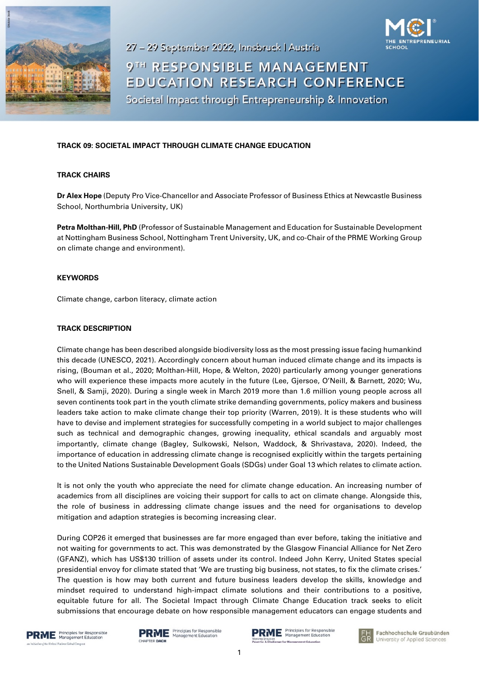

9TH RESPONSIBLE MANAGEMENT EDUCATION RESEARCH CONFERENCE

Societal Impact through Entrepreneurship & Innovation

27 - 29 September 2022, Innsbruck | Austria

## **TRACK 09: SOCIETAL IMPACT THROUGH CLIMATE CHANGE EDUCATION**

## **TRACK CHAIRS**

**Dr Alex Hope** (Deputy Pro Vice-Chancellor and Associate Professor of Business Ethics at Newcastle Business School, Northumbria University, UK)

**Petra Molthan-Hill, PhD** (Professor of Sustainable Management and Education for Sustainable Development at Nottingham Business School, Nottingham Trent University, UK, and co-Chair of the PRME Working Group on climate change and environment).

## **KEYWORDS**

Climate change, carbon literacy, climate action

## **TRACK DESCRIPTION**

Climate change has been described alongside biodiversity loss as the most pressing issue facing humankind this decade (UNESCO, 2021). Accordingly concern about human induced climate change and its impacts is rising, (Bouman et al., 2020; Molthan-Hill, Hope, & Welton, 2020) particularly among younger generations who will experience these impacts more acutely in the future (Lee, Gjersoe, O'Neill, & Barnett, 2020; Wu, Snell, & Samji, 2020). During a single week in March 2019 more than 1.6 million young people across all seven continents took part in the youth climate strike demanding governments, policy makers and business leaders take action to make climate change their top priority (Warren, 2019). It is these students who will have to devise and implement strategies for successfully competing in a world subject to major challenges such as technical and demographic changes, growing inequality, ethical scandals and arguably most importantly, climate change (Bagley, Sulkowski, Nelson, Waddock, & Shrivastava, 2020). Indeed, the importance of education in addressing climate change is recognised explicitly within the targets pertaining to the United Nations Sustainable Development Goals (SDGs) under Goal 13 which relates to climate action.

It is not only the youth who appreciate the need for climate change education. An increasing number of academics from all disciplines are voicing their support for calls to act on climate change. Alongside this, the role of business in addressing climate change issues and the need for organisations to develop mitigation and adaption strategies is becoming increasing clear.

During COP26 it emerged that businesses are far more engaged than ever before, taking the initiative and not waiting for governments to act. This was demonstrated by the Glasgow Financial Alliance for Net Zero (GFANZ), which has US\$130 trillion of assets under its control. Indeed John Kerry, United States special presidential envoy for climate stated that 'We are trusting big business, not states, to fix the climate crises.' The question is how may both current and future business leaders develop the skills, knowledge and mindset required to understand high-impact climate solutions and their contributions to a positive, equitable future for all. The Societal Impact through Climate Change Education track seeks to elicit submissions that encourage debate on how responsible management educators can engage students and